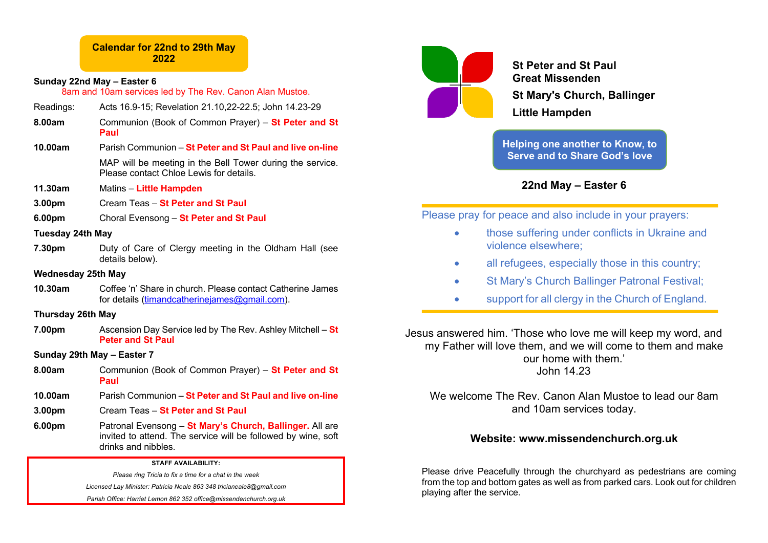# **Calendar for 22nd to 29th May 2022**

# **Sunday 22nd May – Easter 6**

8am and 10am services led by The Rev. Canon Alan Mustoe.

- Readings: Acts 16.9-15; Revelation 21.10,22-22.5; John 14.23-29
- **8.00am** Communion (Book of Common Prayer) **St Peter and St Paul**
- **10.00am** Parish Communion **St Peter and St Paul and live on-line** MAP will be meeting in the Bell Tower during the service. Please contact Chloe Lewis for details.
- **11.30am** Matins **Little Hampden**
- **3.00pm** Cream Teas **St Peter and St Paul**
- **6.00pm** Choral Evensong **St Peter and St Paul**

### **Tuesday 24th May**

**7.30pm** Duty of Care of Clergy meeting in the Oldham Hall (see details below).

# **Wednesday 25th May**

**10.30am** Coffee 'n' Share in church. Please contact Catherine James for details (timandcatherineiames@gmail.com).

### **Thursday 26th May**

**7.00pm** Ascension Day Service led by The Rev. Ashley Mitchell – **St Peter and St Paul**

### **Sunday 29th May – Easter 7**

- **8.00am** Communion (Book of Common Prayer) **St Peter and St Paul**
- **10.00am** Parish Communion **St Peter and St Paul and live on-line**
- **3.00pm** Cream Teas **St Peter and St Paul**
- **6.00pm** Patronal Evensong **St Mary's Church, Ballinger.** All are invited to attend. The service will be followed by wine, soft drinks and nibbles.

#### **STAFF AVAILABILITY:**

*Please ring Tricia to fix a time for a chat in the week Licensed Lay Minister: Patricia Neale 863 348 tricianeale8@gmail.com Parish Office: Harriet Lemon 862 352 office@missendenchurch.org.uk*



**St Peter and St Paul Great Missenden St Mary's Church, Ballinger Little Hampden**

**Helping one another to Know, to Serve and to Share God's love**

**22nd May – Easter 6**

Please pray for peace and also include in your prayers:

- those suffering under conflicts in Ukraine and violence elsewhere;
- all refugees, especially those in this country;
- St Mary's Church Ballinger Patronal Festival;
- support for all clergy in the Church of England.

Jesus answered him. 'Those who love me will keep my word, and my Father will love them, and we will come to them and make our home with them.' John 14.23

We welcome The Rev. Canon Alan Mustoe to lead our 8am and 10am services today.

# **Website: www.missendenchurch.org.uk**

Please drive Peacefully through the churchyard as pedestrians are coming from the top and bottom gates as well as from parked cars. Look out for children playing after the service.